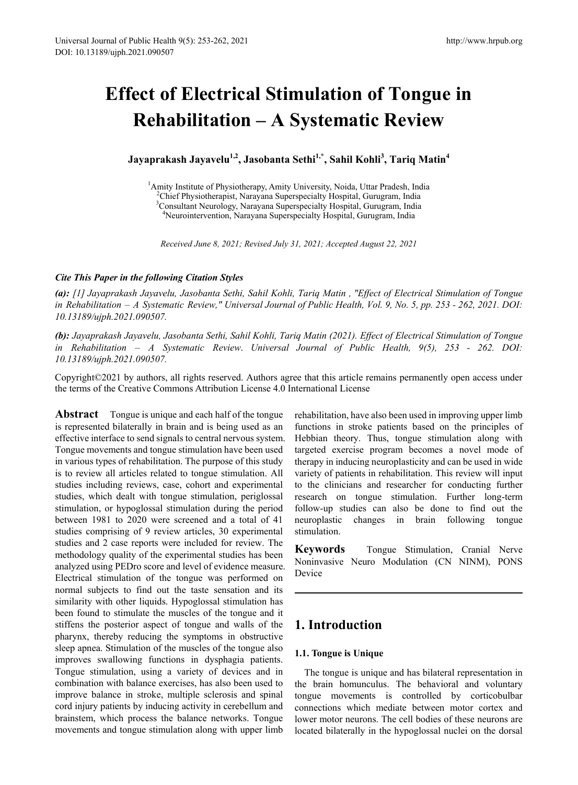# **Effect of Electrical Stimulation of Tongue in Rehabilitation – A Systematic Review**

**Jayaprakash Jayavelu1,2, Jasobanta Sethi1,\*, Sahil Kohli3 , Tariq Matin<sup>4</sup>**

<sup>1</sup> Amity Institute of Physiotherapy, Amity University, Noida, Uttar Pradesh, India <sup>2</sup>Chief Physiotherapist, Narayana Superspecialty Hospital, Gurugram, India  ${}^{2}$ Chief Physiotherapist, Narayana Superspecialty Hospital, Gurugram, India <sup>3</sup> Consultant Neurology, Narayana Superspecialty Hospital, Gurugram, India Neurointervention, Narayana Superspecialty Hospital, Gurugram, India

*Received June 8, 2021; Revised July 31, 2021; Accepted August 22, 2021*

#### *Cite This Paper in the following Citation Styles*

*(a): [1] Jayaprakash Jayavelu, Jasobanta Sethi, Sahil Kohli, Tariq Matin , "Effect of Electrical Stimulation of Tongue in Rehabilitation – A Systematic Review," Universal Journal of Public Health, Vol. 9, No. 5, pp. 253 - 262, 2021. DOI: 10.13189/ujph.2021.090507.* 

*(b): Jayaprakash Jayavelu, Jasobanta Sethi, Sahil Kohli, Tariq Matin (2021). Effect of Electrical Stimulation of Tongue in Rehabilitation – A Systematic Review*. *Universal Journal of Public Health, 9(5), 253 - 262. DOI: 10.13189/ujph.2021.090507.*

Copyright©2021 by authors, all rights reserved. Authors agree that this article remains permanently open access under the terms of the Creative Commons Attribution License 4.0 International License

**Abstract** Tongue is unique and each half of the tongue is represented bilaterally in brain and is being used as an effective interface to send signals to central nervous system. Tongue movements and tongue stimulation have been used in various types of rehabilitation. The purpose of this study is to review all articles related to tongue stimulation. All studies including reviews, case, cohort and experimental studies, which dealt with tongue stimulation, periglossal stimulation, or hypoglossal stimulation during the period between 1981 to 2020 were screened and a total of 41 studies comprising of 9 review articles, 30 experimental studies and 2 case reports were included for review. The methodology quality of the experimental studies has been analyzed using PEDro score and level of evidence measure. Electrical stimulation of the tongue was performed on normal subjects to find out the taste sensation and its similarity with other liquids. Hypoglossal stimulation has been found to stimulate the muscles of the tongue and it stiffens the posterior aspect of tongue and walls of the pharynx, thereby reducing the symptoms in obstructive sleep apnea. Stimulation of the muscles of the tongue also improves swallowing functions in dysphagia patients. Tongue stimulation, using a variety of devices and in combination with balance exercises, has also been used to improve balance in stroke, multiple sclerosis and spinal cord injury patients by inducing activity in cerebellum and brainstem, which process the balance networks. Tongue movements and tongue stimulation along with upper limb

rehabilitation, have also been used in improving upper limb functions in stroke patients based on the principles of Hebbian theory. Thus, tongue stimulation along with targeted exercise program becomes a novel mode of therapy in inducing neuroplasticity and can be used in wide variety of patients in rehabilitation. This review will input to the clinicians and researcher for conducting further research on tongue stimulation. Further long-term follow-up studies can also be done to find out the neuroplastic changes in brain following tongue stimulation.

**Keywords** Tongue Stimulation, Cranial Nerve Noninvasive Neuro Modulation (CN NINM), PONS Device

## **1. Introduction**

### **1.1. Tongue is Unique**

The tongue is unique and has bilateral representation in the brain homunculus. The behavioral and voluntary tongue movements is controlled by corticobulbar connections which mediate between motor cortex and lower motor neurons. The cell bodies of these neurons are located bilaterally in the hypoglossal nuclei on the dorsal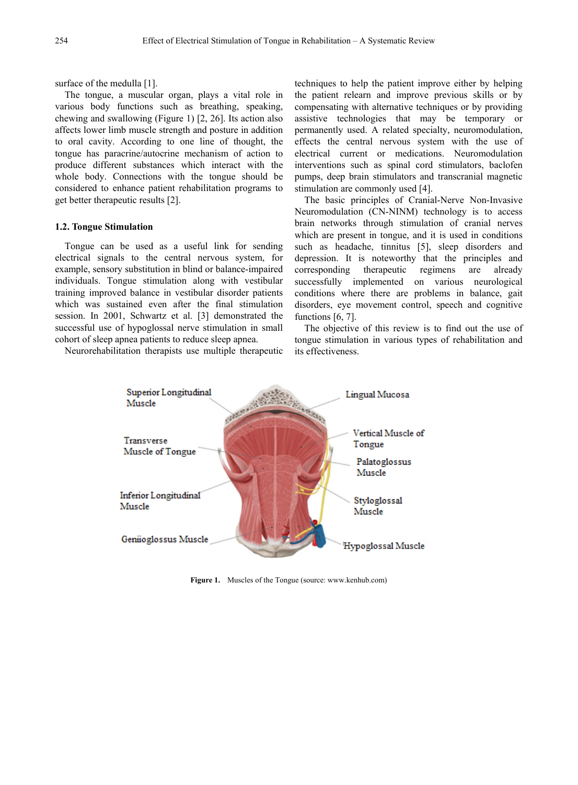surface of the medulla [1].

The tongue, a muscular organ, plays a vital role in various body functions such as breathing, speaking, chewing and swallowing (Figure 1) [2, 26]. Its action also affects lower limb muscle strength and posture in addition to oral cavity. According to one line of thought, the tongue has paracrine/autocrine mechanism of action to produce different substances which interact with the whole body. Connections with the tongue should be considered to enhance patient rehabilitation programs to get better therapeutic results [2].

#### **1.2. Tongue Stimulation**

Tongue can be used as a useful link for sending electrical signals to the central nervous system, for example, sensory substitution in blind or balance-impaired individuals. Tongue stimulation along with vestibular training improved balance in vestibular disorder patients which was sustained even after the final stimulation session. In 2001, Schwartz et al. [3] demonstrated the successful use of hypoglossal nerve stimulation in small cohort of sleep apnea patients to reduce sleep apnea.

Neurorehabilitation therapists use multiple therapeutic

techniques to help the patient improve either by helping the patient relearn and improve previous skills or by compensating with alternative techniques or by providing assistive technologies that may be temporary or permanently used. A related specialty, neuromodulation, effects the central nervous system with the use of electrical current or medications. Neuromodulation interventions such as spinal cord stimulators, baclofen pumps, deep brain stimulators and transcranial magnetic stimulation are commonly used [4].

The basic principles of Cranial-Nerve Non-Invasive Neuromodulation (CN-NINM) technology is to access brain networks through stimulation of cranial nerves which are present in tongue, and it is used in conditions such as headache, tinnitus [5], sleep disorders and depression. It is noteworthy that the principles and corresponding therapeutic regimens are already successfully implemented on various neurological conditions where there are problems in balance, gait disorders, eye movement control, speech and cognitive functions [6, 7].

The objective of this review is to find out the use of tongue stimulation in various types of rehabilitation and its effectiveness.



**Figure 1.** Muscles of the Tongue (source[: www.kenhub.com\)](http://www.kenhub.com/)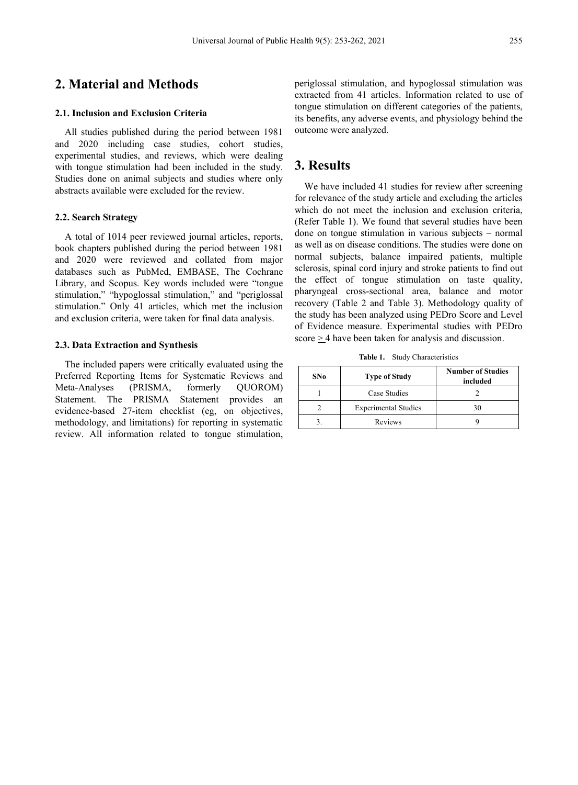## **2. Material and Methods**

#### **2.1. Inclusion and Exclusion Criteria**

All studies published during the period between 1981 and 2020 including case studies, cohort studies, experimental studies, and reviews, which were dealing with tongue stimulation had been included in the study. Studies done on animal subjects and studies where only abstracts available were excluded for the review.

#### **2.2. Search Strategy**

A total of 1014 peer reviewed journal articles, reports, book chapters published during the period between 1981 and 2020 were reviewed and collated from major databases such as PubMed, EMBASE, The Cochrane Library, and Scopus. Key words included were "tongue stimulation," "hypoglossal stimulation," and "periglossal stimulation." Only 41 articles, which met the inclusion and exclusion criteria, were taken for final data analysis.

#### **2.3. Data Extraction and Synthesis**

The included papers were critically evaluated using the Preferred Reporting Items for Systematic Reviews and Meta-Analyses (PRISMA, formerly QUOROM) Statement. The PRISMA Statement provides an evidence-based 27-item checklist (eg, on objectives, methodology, and limitations) for reporting in systematic review. All information related to tongue stimulation, periglossal stimulation, and hypoglossal stimulation was extracted from 41 articles. Information related to use of tongue stimulation on different categories of the patients, its benefits, any adverse events, and physiology behind the outcome were analyzed.

## **3. Results**

We have included 41 studies for review after screening for relevance of the study article and excluding the articles which do not meet the inclusion and exclusion criteria, (Refer Table 1). We found that several studies have been done on tongue stimulation in various subjects – normal as well as on disease conditions. The studies were done on normal subjects, balance impaired patients, multiple sclerosis, spinal cord injury and stroke patients to find out the effect of tongue stimulation on taste quality, pharyngeal cross-sectional area, balance and motor recovery (Table 2 and Table 3). Methodology quality of the study has been analyzed using PEDro Score and Level of Evidence measure. Experimental studies with PEDro score  $\geq$  4 have been taken for analysis and discussion.

**Table 1.** Study Characteristics

| SNo | <b>Type of Study</b>        | <b>Number of Studies</b><br>included |
|-----|-----------------------------|--------------------------------------|
|     | Case Studies                |                                      |
|     | <b>Experimental Studies</b> | 30                                   |
|     | Reviews                     |                                      |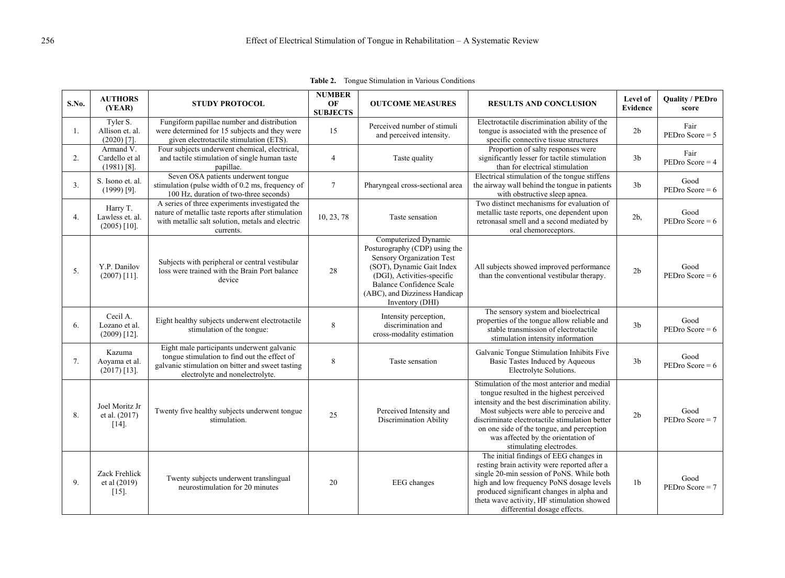| S.No. | <b>AUTHORS</b><br>(YEAR)                      | <b>STUDY PROTOCOL</b>                                                                                                                                                             | <b>NUMBER</b><br>OF<br><b>SUBJECTS</b> | <b>OUTCOME MEASURES</b>                                                                                                                                                                                                              | <b>RESULTS AND CONCLUSION</b>                                                                                                                                                                                                                                                                                                                        | Level of<br><b>Evidence</b> | <b>Quality / PEDro</b><br>score |
|-------|-----------------------------------------------|-----------------------------------------------------------------------------------------------------------------------------------------------------------------------------------|----------------------------------------|--------------------------------------------------------------------------------------------------------------------------------------------------------------------------------------------------------------------------------------|------------------------------------------------------------------------------------------------------------------------------------------------------------------------------------------------------------------------------------------------------------------------------------------------------------------------------------------------------|-----------------------------|---------------------------------|
| 1.    | Tyler S.<br>Allison et. al.<br>$(2020)$ [7].  | Fungiform papillae number and distribution<br>were determined for 15 subjects and they were<br>given electrotactile stimulation (ETS).                                            | 15                                     | Perceived number of stimuli<br>and perceived intensity.                                                                                                                                                                              | Electrotactile discrimination ability of the<br>tongue is associated with the presence of<br>specific connective tissue structures                                                                                                                                                                                                                   | 2 <sub>b</sub>              | Fair<br>$PEDro Score = 5$       |
| 2.    | Armand V.<br>Cardello et al<br>$(1981)$ [8].  | Four subjects underwent chemical, electrical,<br>and tactile stimulation of single human taste<br>papillae.                                                                       | $\overline{4}$                         | Taste quality                                                                                                                                                                                                                        | Proportion of salty responses were<br>significantly lesser for tactile stimulation<br>than for electrical stimulation                                                                                                                                                                                                                                | 3 <sub>b</sub>              | Fair<br>$PEDro Score = 4$       |
| 3.    | S. Isono et. al.<br>$(1999)$ [9].             | Seven OSA patients underwent tongue<br>stimulation (pulse width of 0.2 ms, frequency of<br>100 Hz, duration of two-three seconds)                                                 | $7\phantom{.0}$                        | Pharyngeal cross-sectional area                                                                                                                                                                                                      | Electrical stimulation of the tongue stiffens<br>the airway wall behind the tongue in patients<br>with obstructive sleep apnea.                                                                                                                                                                                                                      | 3 <sub>b</sub>              | Good<br>PEDro Score = $6$       |
| 4.    | Harry T.<br>Lawless et. al.<br>$(2005)$ [10]. | A series of three experiments investigated the<br>nature of metallic taste reports after stimulation<br>with metallic salt solution, metals and electric<br>currents.             | 10, 23, 78                             | Taste sensation                                                                                                                                                                                                                      | Two distinct mechanisms for evaluation of<br>metallic taste reports, one dependent upon<br>retronasal smell and a second mediated by<br>oral chemoreceptors.                                                                                                                                                                                         | $2b$ ,                      | Good<br>PEDro Score = $6$       |
| 5.    | Y.P. Danilov<br>$(2007)$ [11].                | Subjects with peripheral or central vestibular<br>loss were trained with the Brain Port balance<br>device                                                                         | 28                                     | Computerized Dynamic<br>Posturography (CDP) using the<br>Sensory Organization Test<br>(SOT), Dynamic Gait Index<br>(DGI), Activities-specific<br><b>Balance Confidence Scale</b><br>(ABC), and Dizziness Handicap<br>Inventory (DHI) | All subjects showed improved performance<br>than the conventional vestibular therapy.                                                                                                                                                                                                                                                                | 2 <sub>b</sub>              | Good<br>PEDro Score = $6$       |
| 6.    | Cecil A.<br>Lozano et al.<br>$(2009)$ [12].   | Eight healthy subjects underwent electrotactile<br>stimulation of the tongue:                                                                                                     | 8                                      | Intensity perception,<br>discrimination and<br>cross-modality estimation                                                                                                                                                             | The sensory system and bioelectrical<br>properties of the tongue allow reliable and<br>stable transmission of electrotactile<br>stimulation intensity information                                                                                                                                                                                    | 3 <sub>b</sub>              | Good<br>PEDro Score = $6$       |
| 7.    | Kazuma<br>Aoyama et al.<br>$(2017)$ [13].     | Eight male participants underwent galvanic<br>tongue stimulation to find out the effect of<br>galvanic stimulation on bitter and sweet tasting<br>electrolyte and nonelectrolyte. | 8                                      | Taste sensation                                                                                                                                                                                                                      | Galvanic Tongue Stimulation Inhibits Five<br>Basic Tastes Induced by Aqueous<br>Electrolyte Solutions.                                                                                                                                                                                                                                               | 3 <sub>b</sub>              | Good<br>PEDro Score = $6$       |
| 8.    | Joel Moritz Jr<br>et al. (2017)<br>$[14]$     | Twenty five healthy subjects underwent tongue<br>stimulation.                                                                                                                     | 25                                     | Perceived Intensity and<br><b>Discrimination Ability</b>                                                                                                                                                                             | Stimulation of the most anterior and medial<br>tongue resulted in the highest perceived<br>intensity and the best discrimination ability.<br>Most subjects were able to perceive and<br>discriminate electrotactile stimulation better<br>on one side of the tongue, and perception<br>was affected by the orientation of<br>stimulating electrodes. | 2 <sub>b</sub>              | Good<br>$PEDro Score = 7$       |
| 9.    | Zack Frehlick<br>et al (2019)<br>$[15]$       | Twenty subjects underwent translingual<br>neurostimulation for 20 minutes                                                                                                         | 20                                     | <b>EEG</b> changes                                                                                                                                                                                                                   | The initial findings of EEG changes in<br>resting brain activity were reported after a<br>single 20-min session of PoNS. While both<br>high and low frequency PoNS dosage levels<br>produced significant changes in alpha and<br>theta wave activity, HF stimulation showed<br>differential dosage effects.                                          | 1 <sub>b</sub>              | Good<br>$PEDro Score = 7$       |

**Table 2.** Tongue Stimulation in Various Conditions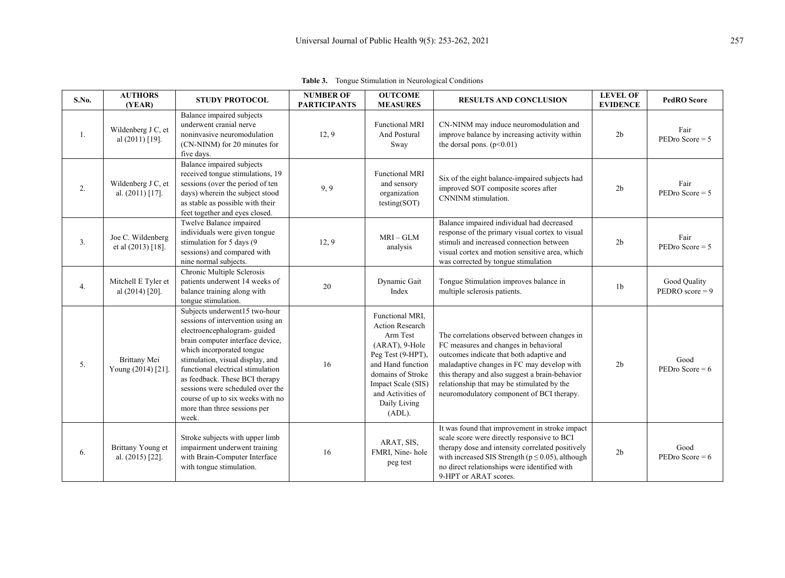| S.No. | <b>AUTHORS</b><br>(YEAR)                 | <b>STUDY PROTOCOL</b>                                                                                                                                                                                                                                                                                                                                                                           | <b>NUMBER OF</b><br><b>PARTICIPANTS</b> | <b>OUTCOME</b><br><b>MEASURES</b>                                                                                                                                                                       | <b>RESULTS AND CONCLUSION</b>                                                                                                                                                                                                                                                                                                | <b>LEVEL OF</b><br><b>EVIDENCE</b> | <b>PedRO</b> Score                |
|-------|------------------------------------------|-------------------------------------------------------------------------------------------------------------------------------------------------------------------------------------------------------------------------------------------------------------------------------------------------------------------------------------------------------------------------------------------------|-----------------------------------------|---------------------------------------------------------------------------------------------------------------------------------------------------------------------------------------------------------|------------------------------------------------------------------------------------------------------------------------------------------------------------------------------------------------------------------------------------------------------------------------------------------------------------------------------|------------------------------------|-----------------------------------|
| 1.    | Wildenberg J C, et<br>al (2011) [19].    | Balance impaired subjects<br>underwent cranial nerve<br>noninvasive neuromodulation<br>(CN-NINM) for 20 minutes for<br>five days.                                                                                                                                                                                                                                                               | 12, 9                                   | <b>Functional MRI</b><br>And Postural<br>Sway                                                                                                                                                           | CN-NINM may induce neuromodulation and<br>improve balance by increasing activity within<br>the dorsal pons. $(p<0.01)$                                                                                                                                                                                                       | 2 <sub>b</sub>                     | Fair<br>$PEDro Score = 5$         |
| 2.    | Wildenberg J C, et<br>al. $(2011)$ [17]. | Balance impaired subjects<br>received tongue stimulations, 19<br>sessions (over the period of ten<br>days) wherein the subject stood<br>as stable as possible with their<br>feet together and eyes closed.                                                                                                                                                                                      | 9,9                                     | <b>Functional MRI</b><br>and sensory<br>organization<br>testing(SOT)                                                                                                                                    | Six of the eight balance-impaired subjects had<br>improved SOT composite scores after<br>CNNINM stimulation.                                                                                                                                                                                                                 | 2 <sub>b</sub>                     | Fair<br>$PEDro Score = 5$         |
| 3.    | Joe C. Wildenberg<br>et al (2013) [18].  | Twelve Balance impaired<br>individuals were given tongue<br>stimulation for 5 days (9<br>sessions) and compared with<br>nine normal subjects.                                                                                                                                                                                                                                                   | 12, 9                                   | $MRI - GLM$<br>analysis                                                                                                                                                                                 | Balance impaired individual had decreased<br>response of the primary visual cortex to visual<br>stimuli and increased connection between<br>visual cortex and motion sensitive area, which<br>was corrected by tongue stimulation                                                                                            | 2 <sub>b</sub>                     | Fair<br>$PEDro Score = 5$         |
| 4.    | Mitchell E Tyler et<br>al $(2014)$ [20]. | Chronic Multiple Sclerosis<br>patients underwent 14 weeks of<br>balance training along with<br>tongue stimulation.                                                                                                                                                                                                                                                                              | 20                                      | Dynamic Gait<br>Index                                                                                                                                                                                   | Tongue Stimulation improves balance in<br>multiple sclerosis patients.                                                                                                                                                                                                                                                       | 1 <sub>b</sub>                     | Good Quality<br>PEDRO score = $9$ |
| 5.    | Brittany Mei<br>Young (2014) [21].       | Subjects underwent15 two-hour<br>sessions of intervention using an<br>electroencephalogram-guided<br>brain computer interface device,<br>which incorporated tongue<br>stimulation, visual display, and<br>functional electrical stimulation<br>as feedback. These BCI therapy<br>sessions were scheduled over the<br>course of up to six weeks with no<br>more than three sessions per<br>week. | 16                                      | Functional MRI,<br>Action Research<br>Arm Test<br>(ARAT), 9-Hole<br>Peg Test (9-HPT),<br>and Hand function<br>domains of Stroke<br>Impact Scale (SIS)<br>and Activities of<br>Daily Living<br>$(ADL)$ . | The correlations observed between changes in<br>FC measures and changes in behavioral<br>outcomes indicate that both adaptive and<br>maladaptive changes in FC may develop with<br>this therapy and also suggest a brain-behavior<br>relationship that may be stimulated by the<br>neuromodulatory component of BCI therapy. | 2 <sub>b</sub>                     | Good<br>PEDro Score = $6$         |
| 6.    | Brittany Young et<br>al. (2015) [22].    | Stroke subjects with upper limb<br>impairment underwent training<br>with Brain-Computer Interface<br>with tongue stimulation.                                                                                                                                                                                                                                                                   | 16                                      | ARAT, SIS,<br>FMRI, Nine-hole<br>peg test                                                                                                                                                               | It was found that improvement in stroke impact<br>scale score were directly responsive to BCI<br>therapy dose and intensity correlated positively<br>with increased SIS Strength ( $p \le 0.05$ ), although<br>no direct relationships were identified with<br>9-HPT or ARAT scores.                                         | 2 <sub>b</sub>                     | Good<br>PEDro Score = $6$         |

**Table 3.** Tongue Stimulation in Neurological Conditions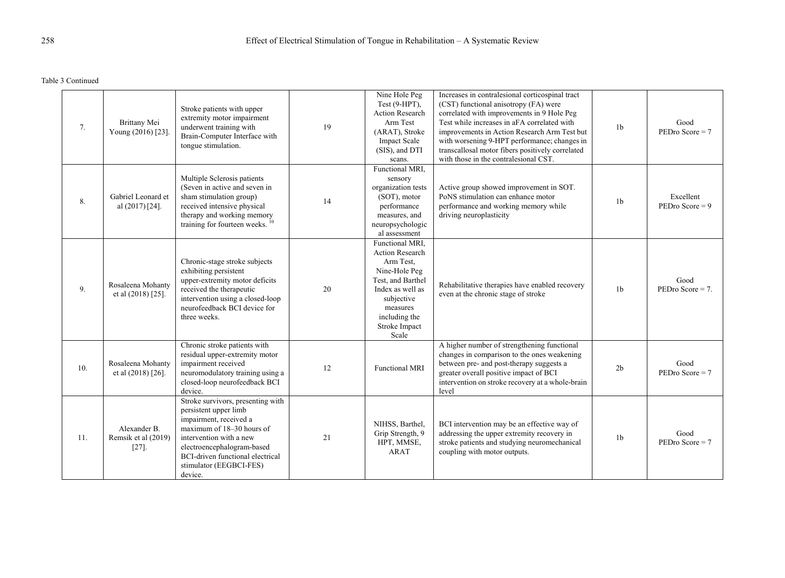Table 3 Continued

| 7.  | Brittany Mei<br>Young (2016) [23].            | Stroke patients with upper<br>extremity motor impairment<br>underwent training with<br>Brain-Computer Interface with<br>tongue stimulation.                                                                                                                 | 19 | Nine Hole Peg<br>Test (9-HPT),<br>Action Research<br>Arm Test<br>(ARAT), Stroke<br><b>Impact Scale</b><br>(SIS), and DTI<br>scans.                                             | Increases in contralesional corticospinal tract<br>(CST) functional anisotropy (FA) were<br>correlated with improvements in 9 Hole Peg<br>Test while increases in aFA correlated with<br>improvements in Action Research Arm Test but<br>with worsening 9-HPT performance; changes in<br>transcallosal motor fibers positively correlated<br>with those in the contralesional CST. | 1 <sub>b</sub> | Good<br>$PEDro Score = 7$      |
|-----|-----------------------------------------------|-------------------------------------------------------------------------------------------------------------------------------------------------------------------------------------------------------------------------------------------------------------|----|--------------------------------------------------------------------------------------------------------------------------------------------------------------------------------|------------------------------------------------------------------------------------------------------------------------------------------------------------------------------------------------------------------------------------------------------------------------------------------------------------------------------------------------------------------------------------|----------------|--------------------------------|
| 8.  | Gabriel Leonard et<br>al $(2017)$ [24].       | Multiple Sclerosis patients<br>(Seven in active and seven in<br>sham stimulation group)<br>received intensive physical<br>therapy and working memory<br>training for fourteen weeks. <sup>10</sup>                                                          | 14 | Functional MRI.<br>sensory<br>organization tests<br>(SOT), motor<br>performance<br>measures, and<br>neuropsychologic<br>al assessment                                          | Active group showed improvement in SOT.<br>PoNS stimulation can enhance motor<br>performance and working memory while<br>driving neuroplasticity                                                                                                                                                                                                                                   | 1 <sub>b</sub> | Excellent<br>$PEDro Score = 9$ |
| 9.  | Rosaleena Mohanty<br>et al (2018) [25].       | Chronic-stage stroke subjects<br>exhibiting persistent<br>upper-extremity motor deficits<br>received the therapeutic<br>intervention using a closed-loop<br>neurofeedback BCI device for<br>three weeks.                                                    | 20 | Functional MRI.<br>Action Research<br>Arm Test,<br>Nine-Hole Peg<br>Test, and Barthel<br>Index as well as<br>subjective<br>measures<br>including the<br>Stroke Impact<br>Scale | Rehabilitative therapies have enabled recovery<br>even at the chronic stage of stroke                                                                                                                                                                                                                                                                                              | 1 <sub>b</sub> | Good<br>PEDro Score $= 7$ .    |
| 10. | Rosaleena Mohanty<br>et al (2018) [26].       | Chronic stroke patients with<br>residual upper-extremity motor<br>impairment received<br>neuromodulatory training using a<br>closed-loop neurofeedback BCI<br>device.                                                                                       | 12 | <b>Functional MRI</b>                                                                                                                                                          | A higher number of strengthening functional<br>changes in comparison to the ones weakening<br>between pre- and post-therapy suggests a<br>greater overall positive impact of BCI<br>intervention on stroke recovery at a whole-brain<br>level                                                                                                                                      | 2 <sub>b</sub> | Good<br>$PEDro Score = 7$      |
| 11. | Alexander B.<br>Remsik et al (2019)<br>$[27]$ | Stroke survivors, presenting with<br>persistent upper limb<br>impairment, received a<br>maximum of 18-30 hours of<br>intervention with a new<br>electroencephalogram-based<br><b>BCI-driven functional electrical</b><br>stimulator (EEGBCI-FES)<br>device. | 21 | NIHSS, Barthel,<br>Grip Strength, 9<br>HPT, MMSE,<br><b>ARAT</b>                                                                                                               | BCI intervention may be an effective way of<br>addressing the upper extremity recovery in<br>stroke patients and studying neuromechanical<br>coupling with motor outputs.                                                                                                                                                                                                          | 1 <sub>b</sub> | Good<br>$PEDro Score = 7$      |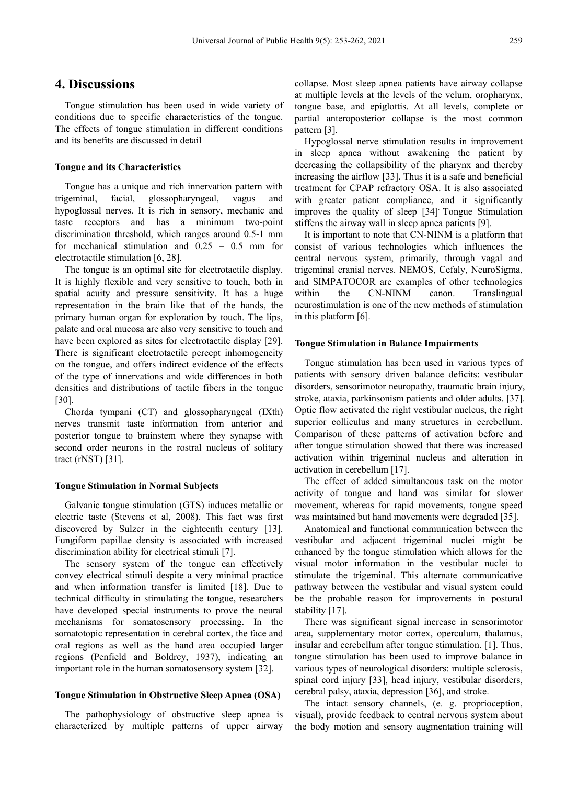## **4. Discussions**

Tongue stimulation has been used in wide variety of conditions due to specific characteristics of the tongue. The effects of tongue stimulation in different conditions and its benefits are discussed in detail

#### **Tongue and its Characteristics**

Tongue has a unique and rich innervation pattern with trigeminal, facial, glossopharyngeal, vagus and hypoglossal nerves. It is rich in sensory, mechanic and taste receptors and has a minimum two-point discrimination threshold, which ranges around 0.5-1 mm for mechanical stimulation and 0.25 – 0.5 mm for electrotactile stimulation [6, 28].

The tongue is an optimal site for electrotactile display. It is highly flexible and very sensitive to touch, both in spatial acuity and pressure sensitivity. It has a huge representation in the brain like that of the hands, the primary human organ for exploration by touch. The lips, palate and oral mucosa are also very sensitive to touch and have been explored as sites for electrotactile display [29]. There is significant electrotactile percept inhomogeneity on the tongue, and offers indirect evidence of the effects of the type of innervations and wide differences in both densities and distributions of tactile fibers in the tongue [30].

Chorda tympani (CT) and glossopharyngeal (IXth) nerves transmit taste information from anterior and posterior tongue to brainstem where they synapse with second order neurons in the rostral nucleus of solitary tract (rNST) [31].

#### **Tongue Stimulation in Normal Subjects**

Galvanic tongue stimulation (GTS) induces metallic or electric taste (Stevens et al, 2008). This fact was first discovered by Sulzer in the eighteenth century [13]. Fungiform papillae density is associated with increased discrimination ability for electrical stimuli [7].

The sensory system of the tongue can effectively convey electrical stimuli despite a very minimal practice and when information transfer is limited [18]. Due to technical difficulty in stimulating the tongue, researchers have developed special instruments to prove the neural mechanisms for somatosensory processing. In the somatotopic representation in cerebral cortex, the face and oral regions as well as the hand area occupied larger regions (Penfield and Boldrey, 1937), indicating an important role in the human somatosensory system [32].

#### **Tongue Stimulation in Obstructive Sleep Apnea (OSA)**

The pathophysiology of obstructive sleep apnea is characterized by multiple patterns of upper airway

collapse. Most sleep apnea patients have airway collapse at multiple levels at the levels of the velum, oropharynx, tongue base, and epiglottis. At all levels, complete or partial anteroposterior collapse is the most common pattern [3].

Hypoglossal nerve stimulation results in improvement in sleep apnea without awakening the patient by decreasing the collapsibility of the pharynx and thereby increasing the airflow [33]. Thus it is a safe and beneficial treatment for CPAP refractory OSA. It is also associated with greater patient compliance, and it significantly improves the quality of sleep [34]. Tongue Stimulation stiffens the airway wall in sleep apnea patients [9].

It is important to note that CN-NINM is a platform that consist of various technologies which influences the central nervous system, primarily, through vagal and trigeminal cranial nerves. NEMOS, Cefaly, NeuroSigma, and SIMPATOCOR are examples of other technologies within the CN-NINM canon. Translingual neurostimulation is one of the new methods of stimulation in this platform [6].

#### **Tongue Stimulation in Balance Impairments**

Tongue stimulation has been used in various types of patients with sensory driven balance deficits: vestibular disorders, sensorimotor neuropathy, traumatic brain injury, stroke, ataxia, parkinsonism patients and older adults. [37]. Optic flow activated the right vestibular nucleus, the right superior colliculus and many structures in cerebellum. Comparison of these patterns of activation before and after tongue stimulation showed that there was increased activation within trigeminal nucleus and alteration in activation in cerebellum [17].

The effect of added simultaneous task on the motor activity of tongue and hand was similar for slower movement, whereas for rapid movements, tongue speed was maintained but hand movements were degraded [35].

Anatomical and functional communication between the vestibular and adjacent trigeminal nuclei might be enhanced by the tongue stimulation which allows for the visual motor information in the vestibular nuclei to stimulate the trigeminal. This alternate communicative pathway between the vestibular and visual system could be the probable reason for improvements in postural stability [17].

There was significant signal increase in sensorimotor area, supplementary motor cortex, operculum, thalamus, insular and cerebellum after tongue stimulation. [1]. Thus, tongue stimulation has been used to improve balance in various types of neurological disorders: multiple sclerosis, spinal cord injury [33], head injury, vestibular disorders, cerebral palsy, ataxia, depression [36], and stroke.

The intact sensory channels, (e. g. proprioception, visual), provide feedback to central nervous system about the body motion and sensory augmentation training will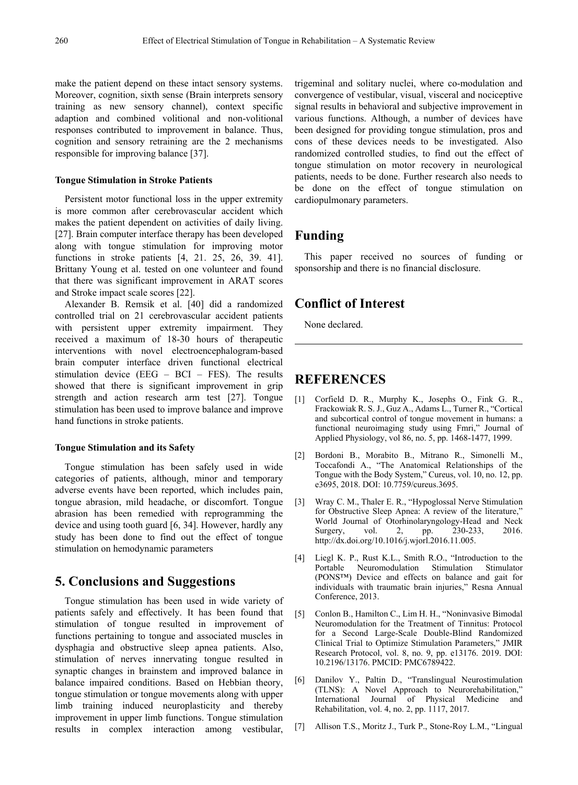make the patient depend on these intact sensory systems. Moreover, cognition, sixth sense (Brain interprets sensory training as new sensory channel), context specific adaption and combined volitional and non-volitional responses contributed to improvement in balance. Thus, cognition and sensory retraining are the 2 mechanisms responsible for improving balance [37].

#### **Tongue Stimulation in Stroke Patients**

Persistent motor functional loss in the upper extremity is more common after cerebrovascular accident which makes the patient dependent on activities of daily living. [27]. Brain computer interface therapy has been developed along with tongue stimulation for improving motor functions in stroke patients [4, 21. 25, 26, 39. 41]. Brittany Young et al. tested on one volunteer and found that there was significant improvement in ARAT scores and Stroke impact scale scores [22].

Alexander B. Remsik et al. [40] did a randomized controlled trial on 21 cerebrovascular accident patients with persistent upper extremity impairment. They received a maximum of 18-30 hours of therapeutic interventions with novel electroencephalogram-based brain computer interface driven functional electrical stimulation device (EEG – BCI – FES). The results showed that there is significant improvement in grip strength and action research arm test [27]. Tongue stimulation has been used to improve balance and improve hand functions in stroke patients.

#### **Tongue Stimulation and its Safety**

Tongue stimulation has been safely used in wide categories of patients, although, minor and temporary adverse events have been reported, which includes pain, tongue abrasion, mild headache, or discomfort. Tongue abrasion has been remedied with reprogramming the device and using tooth guard [6, 34]. However, hardly any study has been done to find out the effect of tongue stimulation on hemodynamic parameters

## **5. Conclusions and Suggestions**

Tongue stimulation has been used in wide variety of patients safely and effectively. It has been found that stimulation of tongue resulted in improvement of functions pertaining to tongue and associated muscles in dysphagia and obstructive sleep apnea patients. Also, stimulation of nerves innervating tongue resulted in synaptic changes in brainstem and improved balance in balance impaired conditions. Based on Hebbian theory, tongue stimulation or tongue movements along with upper limb training induced neuroplasticity and thereby improvement in upper limb functions. Tongue stimulation results in complex interaction among vestibular, trigeminal and solitary nuclei, where co-modulation and convergence of vestibular, visual, visceral and nociceptive signal results in behavioral and subjective improvement in various functions. Although, a number of devices have been designed for providing tongue stimulation, pros and cons of these devices needs to be investigated. Also randomized controlled studies, to find out the effect of tongue stimulation on motor recovery in neurological patients, needs to be done. Further research also needs to be done on the effect of tongue stimulation on cardiopulmonary parameters.

## **Funding**

This paper received no sources of funding or sponsorship and there is no financial disclosure.

## **Conflict of Interest**

None declared.

## **REFERENCES**

- [1] Corfield D. R., Murphy K., Josephs O., Fink G. R., Frackowiak R. S. J., Guz A., Adams L., Turner R., "Cortical and subcortical control of tongue movement in humans: a functional neuroimaging study using Fmri," Journal of Applied Physiology, vol 86, no. 5, pp. 1468-1477, 1999.
- [2] Bordoni B., Morabito B., Mitrano R., Simonelli M., Toccafondi A., "The Anatomical Relationships of the Tongue with the Body System," Cureus, vol. 10, no. 12, pp. e3695, 2018. DOI: 10.7759/cureus.3695.
- [3] Wray C. M., Thaler E. R., "Hypoglossal Nerve Stimulation for Obstructive Sleep Apnea: A review of the literature," World Journal of Otorhinolaryngology-Head and Neck Surgery, vol. 2, pp. 230-233, 2016. http://dx.doi.org/10.1016/j.wjorl.2016.11.005.
- [4] Liegl K. P., Rust K.L., Smith R.O., "Introduction to the Portable Neuromodulation Stimulation Stimulator (PONS™) Device and effects on balance and gait for individuals with traumatic brain injuries," Resna Annual Conference, 2013.
- [5] Conlon B., Hamilton C., Lim H. H., "Noninvasive Bimodal Neuromodulation for the Treatment of Tinnitus: Protocol for a Second Large-Scale Double-Blind Randomized Clinical Trial to Optimize Stimulation Parameters," JMIR Research Protocol, vol. 8, no. 9, pp. e13176. 2019. DOI: 10.2196/13176. PMCID: PMC6789422.
- [6] Danilov Y., Paltin D., "Translingual Neurostimulation (TLNS): A Novel Approach to Neurorehabilitation," International Journal of Physical Medicine and Rehabilitation, vol. 4, no. 2, pp. 1117, 2017.
- [7] Allison T.S., Moritz J., Turk P., Stone-Roy L.M., "Lingual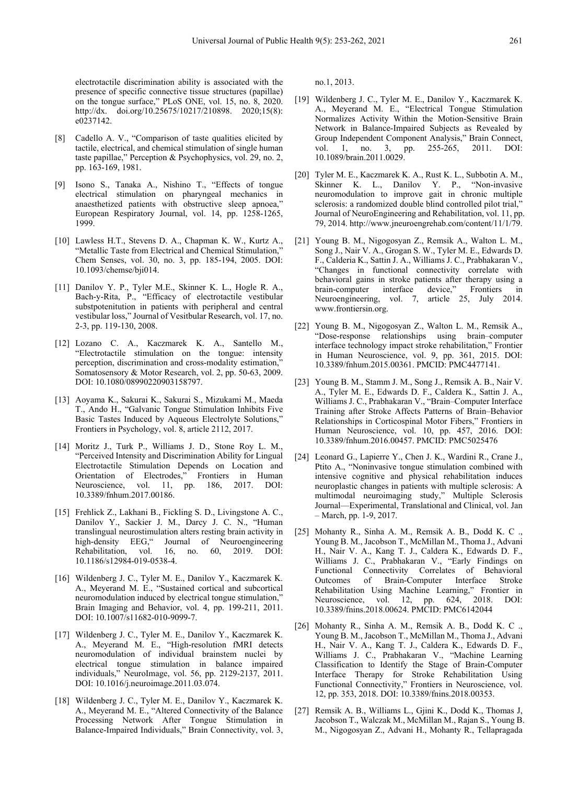electrotactile discrimination ability is associated with the presence of specific connective tissue structures (papillae) on the tongue surface," PLoS ONE, vol. 15, no. 8, 2020. http://dx. doi.org/10.25675/10217/210898. 2020;15(8): e0237142.

- [8] Cadello A. V., "Comparison of taste qualities elicited by tactile, electrical, and chemical stimulation of single human taste papillae," Perception & Psychophysics, vol. 29, no. 2, pp. 163-169, 1981.
- [9] Isono S., Tanaka A., Nishino T., "Effects of tongue electrical stimulation on pharyngeal mechanics in anaesthetized patients with obstructive sleep apnoea," European Respiratory Journal, vol. 14, pp. 1258-1265, 1999.
- [10] Lawless H.T., Stevens D. A., Chapman K. W., Kurtz A., "Metallic Taste from Electrical and Chemical Stimulation," Chem Senses, vol. 30, no. 3, pp. 185-194, 2005. DOI: 10.1093/chemse/bji014.
- [11] Danilov Y. P., Tyler M.E., Skinner K. L., Hogle R. A., Bach-y-Rita, P., "Efficacy of electrotactile vestibular substpotenitution in patients with peripheral and central vestibular loss," Journal of Vesitbular Research, vol. 17, no. 2-3, pp. 119-130, 2008.
- [12] Lozano C. A., Kaczmarek K. A., Santello M., "Electrotactile stimulation on the tongue: intensity perception, discrimination and cross-modality estimation," Somatosensory & Motor Research, vol. 2, pp. 50-63, 2009. DOI: 10.1080/08990220903158797.
- [13] Aoyama K., Sakurai K., Sakurai S., Mizukami M., Maeda T., Ando H., "Galvanic Tongue Stimulation Inhibits Five Basic Tastes Induced by Aqueous Electrolyte Solutions," Frontiers in Psychology, vol. 8, article 2112, 2017.
- [14] Moritz J., Turk P., Williams J. D., Stone Roy L. M., "Perceived Intensity and Discrimination Ability for Lingual Electrotactile Stimulation Depends on Location and Orientation of Electrodes," Frontiers in Human<br>Neuroscience, vol. 11, pp. 186, 2017. DOI: Neuroscience, vol. 11, 10.3389/fnhum.2017.00186.
- [15] Frehlick Z., Lakhani B., Fickling S. D., Livingstone A. C., Danilov Y., Sackier J. M., Darcy J. C. N., "Human translingual neurostimulation alters resting brain activity in high-density EEG," Journal of Neuroengineering Rehabilitation, vol. 16, no. 60, 2019. DOI: 10.1186/s12984-019-0538-4.
- [16] Wildenberg J. C., Tyler M. E., Danilov Y., Kaczmarek K. A., Meyerand M. E., "Sustained cortical and subcortical neuromodulation induced by electrical tongue stimulation," Brain Imaging and Behavior, vol. 4, pp. 199-211, 2011. DOI: 10.1007/s11682-010-9099-7.
- [17] Wildenberg J. C., Tyler M. E., Danilov Y., Kaczmarek K. A., Meyerand M. E., "High-resolution fMRI detects neuromodulation of individual brainstem nuclei by electrical tongue stimulation in balance impaired individuals," NeuroImage, vol. 56, pp. 2129-2137, 2011. DOI: 10.1016/j.neuroimage.2011.03.074.
- [18] Wildenberg J. C., Tyler M. E., Danilov Y., Kaczmarek K. A., Meyerand M. E., "Altered Connectivity of the Balance Processing Network After Tongue Stimulation in Balance-Impaired Individuals," Brain Connectivity, vol. 3,

no.1, 2013.

- [19] Wildenberg J. C., Tyler M. E., Danilov Y., Kaczmarek K. A., Meyerand M. E., "Electrical Tongue Stimulation Normalizes Activity Within the Motion-Sensitive Brain Network in Balance-Impaired Subjects as Revealed by Group Independent Component Analysis," Brain Connect, vol. 1, no. 3, pp. 255-265, 2011. DOI: vol. 1, no. 3, pp. 255-265, 2011. DOI: 10.1089/brain.2011.0029.
- [20] Tyler M. E., Kaczmarek K. A., Rust K. L., Subbotin A. M., Skinner K. L., Danilov Y. P., "Non-invasive neuromodulation to improve gait in chronic multiple sclerosis: a randomized double blind controlled pilot trial," Journal of NeuroEngineering and Rehabilitation, vol. 11, pp. 79, 2014. http://www.jneuroengrehab.com/content/11/1/79.
- [21] Young B. M., Nigogosyan Z., Remsik A., Walton L. M., Song J., Nair V. A., Grogan S. W., Tyler M. E., Edwards D. F., Calderia K., Sattin J. A., Williams J. C., Prabhakaran V., "Changes in functional connectivity correlate with behavioral gains in stroke patients after therapy using a brain-computer interface device," Frontiers in brain-computer interface device," Frontiers in Neuroengineering, vol. 7, article 25, July 2014. www.frontiersin.org.
- [22] Young B. M., Nigogosyan Z., Walton L. M., Remsik A., "Dose-response relationships using brain–computer interface technology impact stroke rehabilitation," Frontier in Human Neuroscience, vol. 9, pp. 361, 2015. DOI: 10.3389/fnhum.2015.00361. PMCID: PMC4477141.
- [23] Young B. M., Stamm J. M., Song J., Remsik A. B., Nair V. A., Tyler M. E., Edwards D. F., Caldera K., Sattin J. A., Williams J. C., Prabhakaran V., "Brain–Computer Interface Training after Stroke Affects Patterns of Brain–Behavior Relationships in Corticospinal Motor Fibers," Frontiers in Human Neuroscience, vol. 10, pp. 457, 2016. DOI: 10.3389/fnhum.2016.00457. PMCID: PMC5025476
- [24] Leonard G., Lapierre Y., Chen J. K., Wardini R., Crane J., Ptito A., "Noninvasive tongue stimulation combined with intensive cognitive and physical rehabilitation induces neuroplastic changes in patients with multiple sclerosis: A multimodal neuroimaging study," Multiple Sclerosis Journal—Experimental, Translational and Clinical, vol. Jan – March, pp. 1-9, 2017.
- [25] Mohanty R., Sinha A. M., Remsik A. B., Dodd K. C ., Young B. M., Jacobson T., McMillan M., Thoma J., Advani H., Nair V. A., Kang T. J., Caldera K., Edwards D. F., Williams J. C., Prabhakaran V., "Early Findings on Functional Connectivity Correlates of Behavioral Outcomes of Brain-Computer Interface Stroke Rehabilitation Using Machine Learning," Frontier in Neuroscience, vol. 12, pp. 624, 2018. DOI: 10.3389/fnins.2018.00624. PMCID: PMC6142044
- [26] Mohanty R., Sinha A. M., Remsik A. B., Dodd K. C ., Young B. M., Jacobson T., McMillan M., Thoma J., Advani H., Nair V. A., Kang T. J., Caldera K., Edwards D. F., Williams J. C., Prabhakaran V., "Machine Learning Classification to Identify the Stage of Brain-Computer Interface Therapy for Stroke Rehabilitation Using Functional Connectivity," Frontiers in Neuroscience, vol. 12, pp. 353, 2018. DOI: 10.3389/fnins.2018.00353.
- [27] Remsik A. B., Williams L., Gjini K., Dodd K., Thomas J, Jacobson T., Walczak M., McMillan M., Rajan S., Young B. M., Nigogosyan Z., Advani H., Mohanty R., Tellapragada